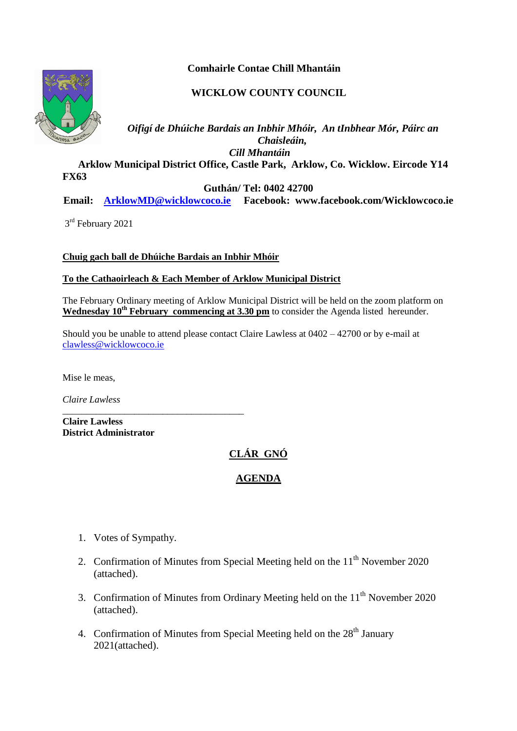**Comhairle Contae Chill Mhantáin**

## **WICKLOW COUNTY COUNCIL**



*Oifigí de Dhúiche Bardais an Inbhir Mhóir, An tInbhear Mór, Páirc an Chaisleáin, Cill Mhantáin*  **Arklow Municipal District Office, Castle Park, Arklow, Co. Wicklow. Eircode Y14** 

**FX63** 

**Guthán/ Tel: 0402 42700**

**Email: [ArklowMD@wicklowcoco.ie](mailto:ArklowMD@wicklowcoco.ie) Facebook: www.facebook.com/Wicklowcoco.ie**

3<sup>rd</sup> February 2021

**Chuig gach ball de Dhúiche Bardais an Inbhir Mhóir**

## **To the Cathaoirleach & Each Member of Arklow Municipal District**

The February Ordinary meeting of Arklow Municipal District will be held on the zoom platform on Wednesday 10<sup>th</sup> February commencing at 3.30 pm to consider the Agenda listed hereunder.

Should you be unable to attend please contact Claire Lawless at 0402 – 42700 or by e-mail at [clawless@wicklowcoco.ie](mailto:clawless@wicklowcoco.ie)

Mise le meas,

*Claire Lawless*

\_\_\_\_\_\_\_\_\_\_\_\_\_\_\_\_\_\_\_\_\_\_\_\_\_\_\_\_\_\_\_\_\_\_\_\_\_\_ **Claire Lawless District Administrator** 

## **CLÁR GNÓ**

## **AGENDA**

- 1. Votes of Sympathy.
- 2. Confirmation of Minutes from Special Meeting held on the  $11<sup>th</sup>$  November 2020 (attached).
- 3. Confirmation of Minutes from Ordinary Meeting held on the  $11<sup>th</sup>$  November 2020 (attached).
- 4. Confirmation of Minutes from Special Meeting held on the  $28<sup>th</sup>$  January 2021(attached).